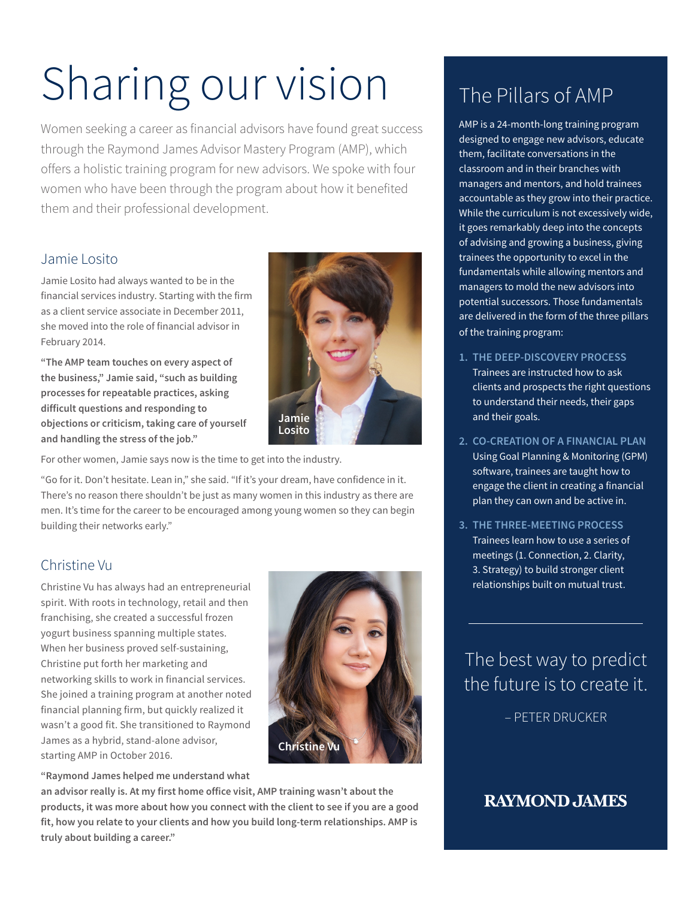# Sharing our vision

Women seeking a career as financial advisors have found great success through the Raymond James Advisor Mastery Program (AMP), which offers a holistic training program for new advisors. We spoke with four women who have been through the program about how it benefited them and their professional development.

#### Jamie Losito

Jamie Losito had always wanted to be in the financial services industry. Starting with the firm as a client service associate in December 2011, she moved into the role of financial advisor in February 2014.

**"The AMP team touches on every aspect of the business," Jamie said, "such as building processes for repeatable practices, asking difficult questions and responding to objections or criticism, taking care of yourself and handling the stress of the job."**



For other women, Jamie says now is the time to get into the industry.

"Go for it. Don't hesitate. Lean in," she said. "If it's your dream, have confidence in it. There's no reason there shouldn't be just as many women in this industry as there are men. It's time for the career to be encouraged among young women so they can begin building their networks early."

#### Christine Vu

Christine Vu has always had an entrepreneurial spirit. With roots in technology, retail and then franchising, she created a successful frozen yogurt business spanning multiple states. When her business proved self-sustaining, Christine put forth her marketing and networking skills to work in financial services. She joined a training program at another noted financial planning firm, but quickly realized it wasn't a good fit. She transitioned to Raymond James as a hybrid, stand-alone advisor, starting AMP in October 2016.



**"Raymond James helped me understand what** 

**an advisor really is. At my first home office visit, AMP training wasn't about the products, it was more about how you connect with the client to see if you are a good fit, how you relate to your clients and how you build long-term relationships. AMP is truly about building a career."**

# The Pillars of AMP

AMP is a 24-month-long training program designed to engage new advisors, educate them, facilitate conversations in the classroom and in their branches with managers and mentors, and hold trainees accountable as they grow into their practice. While the curriculum is not excessively wide, it goes remarkably deep into the concepts of advising and growing a business, giving trainees the opportunity to excel in the fundamentals while allowing mentors and managers to mold the new advisors into potential successors. Those fundamentals are delivered in the form of the three pillars of the training program:

- **1. THE DEEP-DISCOVERY PROCESS** Trainees are instructed how to ask clients and prospects the right questions to understand their needs, their gaps and their goals.
- **2. CO-CREATION OF A FINANCIAL PLAN** Using Goal Planning & Monitoring (GPM) software, trainees are taught how to engage the client in creating a financial plan they can own and be active in.
- **3. THE THREE-MEETING PROCESS** Trainees learn how to use a series of meetings (1. Connection, 2. Clarity, 3. Strategy) to build stronger client relationships built on mutual trust.

The best way to predict the future is to create it.

– PETER DRUCKER

## **RAYMOND JAMES**